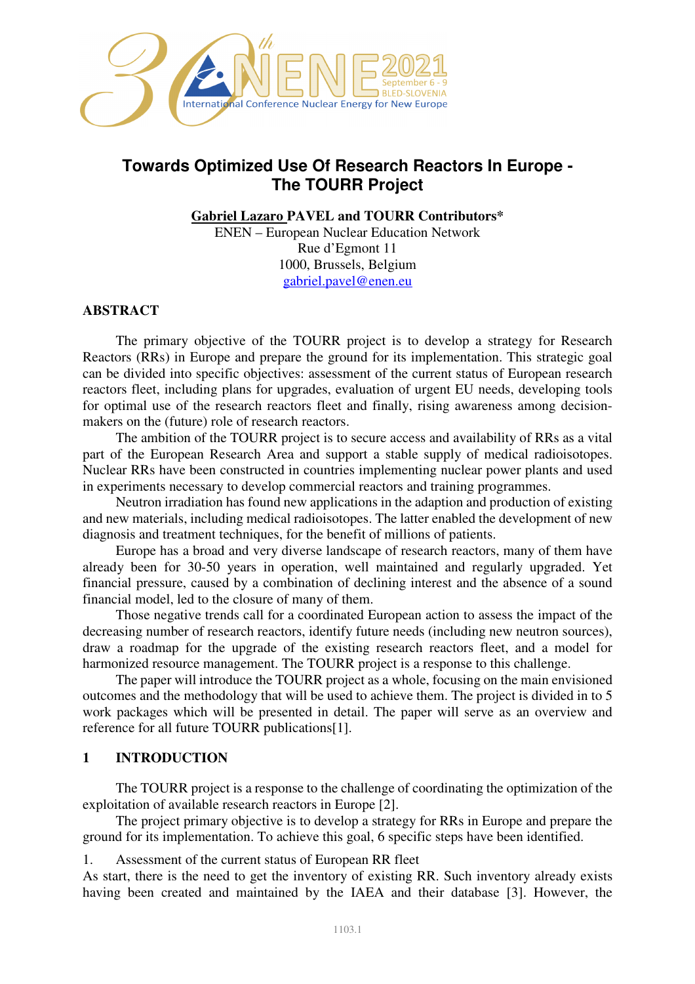

# **Towards Optimized Use Of Research Reactors In Europe - The TOURR Project**

**Gabriel Lazaro PAVEL and TOURR Contributors\*** 

ENEN – European Nuclear Education Network Rue d'Egmont 11 1000, Brussels, Belgium gabriel.pavel@enen.eu

### **ABSTRACT**

The primary objective of the TOURR project is to develop a strategy for Research Reactors (RRs) in Europe and prepare the ground for its implementation. This strategic goal can be divided into specific objectives: assessment of the current status of European research reactors fleet, including plans for upgrades, evaluation of urgent EU needs, developing tools for optimal use of the research reactors fleet and finally, rising awareness among decisionmakers on the (future) role of research reactors.

The ambition of the TOURR project is to secure access and availability of RRs as a vital part of the European Research Area and support a stable supply of medical radioisotopes. Nuclear RRs have been constructed in countries implementing nuclear power plants and used in experiments necessary to develop commercial reactors and training programmes.

Neutron irradiation has found new applications in the adaption and production of existing and new materials, including medical radioisotopes. The latter enabled the development of new diagnosis and treatment techniques, for the benefit of millions of patients.

Europe has a broad and very diverse landscape of research reactors, many of them have already been for 30-50 years in operation, well maintained and regularly upgraded. Yet financial pressure, caused by a combination of declining interest and the absence of a sound financial model, led to the closure of many of them.

Those negative trends call for a coordinated European action to assess the impact of the decreasing number of research reactors, identify future needs (including new neutron sources), draw a roadmap for the upgrade of the existing research reactors fleet, and a model for harmonized resource management. The TOURR project is a response to this challenge.

The paper will introduce the TOURR project as a whole, focusing on the main envisioned outcomes and the methodology that will be used to achieve them. The project is divided in to 5 work packages which will be presented in detail. The paper will serve as an overview and reference for all future TOURR publications[1].

### **1 INTRODUCTION**

The TOURR project is a response to the challenge of coordinating the optimization of the exploitation of available research reactors in Europe [2].

The project primary objective is to develop a strategy for RRs in Europe and prepare the ground for its implementation. To achieve this goal, 6 specific steps have been identified.

1. Assessment of the current status of European RR fleet

As start, there is the need to get the inventory of existing RR. Such inventory already exists having been created and maintained by the IAEA and their database [3]. However, the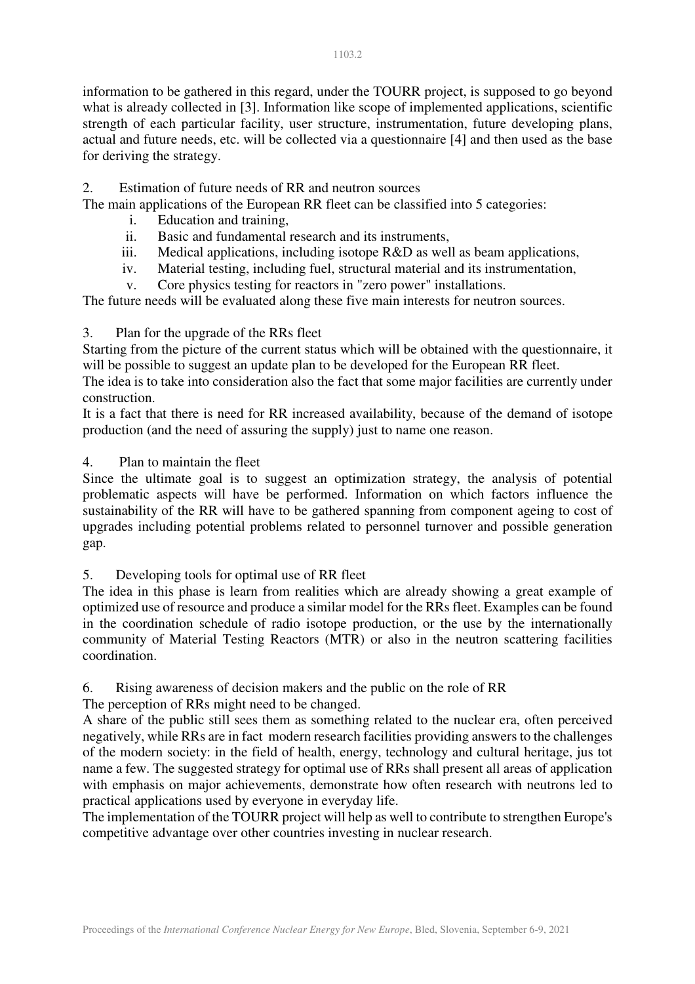information to be gathered in this regard, under the TOURR project, is supposed to go beyond what is already collected in [3]. Information like scope of implemented applications, scientific strength of each particular facility, user structure, instrumentation, future developing plans, actual and future needs, etc. will be collected via a questionnaire [4] and then used as the base for deriving the strategy.

2. Estimation of future needs of RR and neutron sources

The main applications of the European RR fleet can be classified into 5 categories:

- i. Education and training,
- ii. Basic and fundamental research and its instruments,
- iii. Medical applications, including isotope R&D as well as beam applications,
- iv. Material testing, including fuel, structural material and its instrumentation,
- v. Core physics testing for reactors in "zero power" installations.

The future needs will be evaluated along these five main interests for neutron sources.

### 3. Plan for the upgrade of the RRs fleet

Starting from the picture of the current status which will be obtained with the questionnaire, it will be possible to suggest an update plan to be developed for the European RR fleet.

The idea is to take into consideration also the fact that some major facilities are currently under construction.

It is a fact that there is need for RR increased availability, because of the demand of isotope production (and the need of assuring the supply) just to name one reason.

### 4. Plan to maintain the fleet

Since the ultimate goal is to suggest an optimization strategy, the analysis of potential problematic aspects will have be performed. Information on which factors influence the sustainability of the RR will have to be gathered spanning from component ageing to cost of upgrades including potential problems related to personnel turnover and possible generation gap.

### 5. Developing tools for optimal use of RR fleet

The idea in this phase is learn from realities which are already showing a great example of optimized use of resource and produce a similar model for the RRs fleet. Examples can be found in the coordination schedule of radio isotope production, or the use by the internationally community of Material Testing Reactors (MTR) or also in the neutron scattering facilities coordination.

6. Rising awareness of decision makers and the public on the role of RR

The perception of RRs might need to be changed.

A share of the public still sees them as something related to the nuclear era, often perceived negatively, while RRs are in fact modern research facilities providing answers to the challenges of the modern society: in the field of health, energy, technology and cultural heritage, jus tot name a few. The suggested strategy for optimal use of RRs shall present all areas of application with emphasis on major achievements, demonstrate how often research with neutrons led to practical applications used by everyone in everyday life.

The implementation of the TOURR project will help as well to contribute to strengthen Europe's competitive advantage over other countries investing in nuclear research.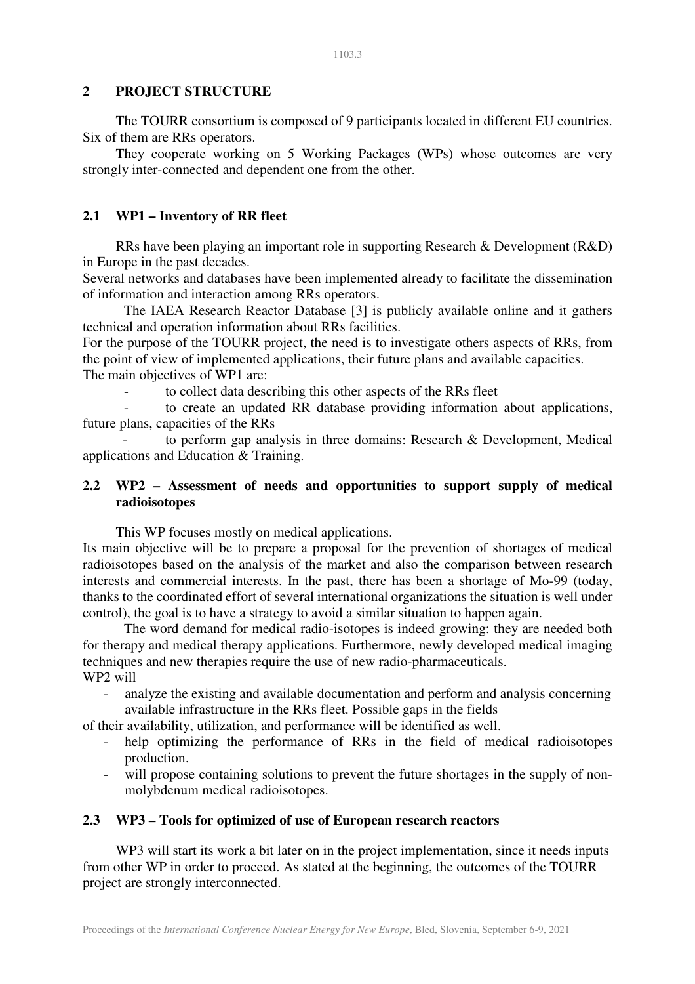### **2 PROJECT STRUCTURE**

The TOURR consortium is composed of 9 participants located in different EU countries. Six of them are RRs operators.

They cooperate working on 5 Working Packages (WPs) whose outcomes are very strongly inter-connected and dependent one from the other.

# **2.1 WP1 – Inventory of RR fleet**

RRs have been playing an important role in supporting Research & Development (R&D) in Europe in the past decades.

Several networks and databases have been implemented already to facilitate the dissemination of information and interaction among RRs operators.

The IAEA Research Reactor Database [3] is publicly available online and it gathers technical and operation information about RRs facilities.

For the purpose of the TOURR project, the need is to investigate others aspects of RRs, from the point of view of implemented applications, their future plans and available capacities. The main objectives of WP1 are:

to collect data describing this other aspects of the RRs fleet

to create an updated RR database providing information about applications, future plans, capacities of the RRs

to perform gap analysis in three domains: Research  $\&$  Development, Medical applications and Education & Training.

## **2.2 WP2 – Assessment of needs and opportunities to support supply of medical radioisotopes**

This WP focuses mostly on medical applications.

Its main objective will be to prepare a proposal for the prevention of shortages of medical radioisotopes based on the analysis of the market and also the comparison between research interests and commercial interests. In the past, there has been a shortage of Mo-99 (today, thanks to the coordinated effort of several international organizations the situation is well under control), the goal is to have a strategy to avoid a similar situation to happen again.

The word demand for medical radio-isotopes is indeed growing: they are needed both for therapy and medical therapy applications. Furthermore, newly developed medical imaging techniques and new therapies require the use of new radio-pharmaceuticals. WP2 will

analyze the existing and available documentation and perform and analysis concerning available infrastructure in the RRs fleet. Possible gaps in the fields

of their availability, utilization, and performance will be identified as well.

- help optimizing the performance of RRs in the field of medical radioisotopes production.
- will propose containing solutions to prevent the future shortages in the supply of nonmolybdenum medical radioisotopes.

# **2.3 WP3 – Tools for optimized of use of European research reactors**

WP3 will start its work a bit later on in the project implementation, since it needs inputs from other WP in order to proceed. As stated at the beginning, the outcomes of the TOURR project are strongly interconnected.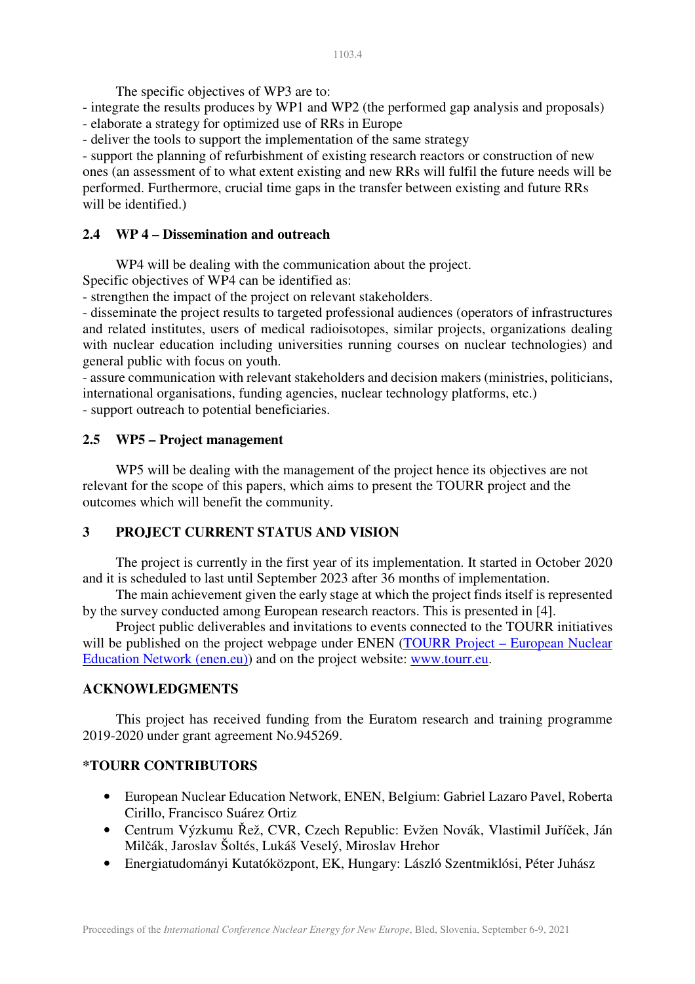The specific objectives of WP3 are to:

- integrate the results produces by WP1 and WP2 (the performed gap analysis and proposals) - elaborate a strategy for optimized use of RRs in Europe

- deliver the tools to support the implementation of the same strategy

- support the planning of refurbishment of existing research reactors or construction of new ones (an assessment of to what extent existing and new RRs will fulfil the future needs will be performed. Furthermore, crucial time gaps in the transfer between existing and future RRs will be identified.)

### **2.4 WP 4 – Dissemination and outreach**

WP4 will be dealing with the communication about the project.

Specific objectives of WP4 can be identified as:

- strengthen the impact of the project on relevant stakeholders.

- disseminate the project results to targeted professional audiences (operators of infrastructures and related institutes, users of medical radioisotopes, similar projects, organizations dealing with nuclear education including universities running courses on nuclear technologies) and general public with focus on youth.

- assure communication with relevant stakeholders and decision makers (ministries, politicians, international organisations, funding agencies, nuclear technology platforms, etc.)

- support outreach to potential beneficiaries.

#### **2.5 WP5 – Project management**

WP5 will be dealing with the management of the project hence its objectives are not relevant for the scope of this papers, which aims to present the TOURR project and the outcomes which will benefit the community.

### **3 PROJECT CURRENT STATUS AND VISION**

The project is currently in the first year of its implementation. It started in October 2020 and it is scheduled to last until September 2023 after 36 months of implementation.

The main achievement given the early stage at which the project finds itself is represented by the survey conducted among European research reactors. This is presented in [4].

Project public deliverables and invitations to events connected to the TOURR initiatives will be published on the project webpage under ENEN (TOURR Project – European Nuclear Education Network (enen.eu)) and on the project website: www.tourr.eu.

#### **ACKNOWLEDGMENTS**

This project has received funding from the Euratom research and training programme 2019-2020 under grant agreement No.945269.

### **\*TOURR CONTRIBUTORS**

- European Nuclear Education Network, ENEN, Belgium: Gabriel Lazaro Pavel, Roberta Cirillo, Francisco Suárez Ortiz
- Centrum Výzkumu Řež, CVR, Czech Republic: Evžen Novák, Vlastimil Juříček, Ján Milčák, Jaroslav Šoltés, Lukáš Veselý, Miroslav Hrehor
- Energiatudományi Kutatóközpont, EK, Hungary: László Szentmiklósi, Péter Juhász